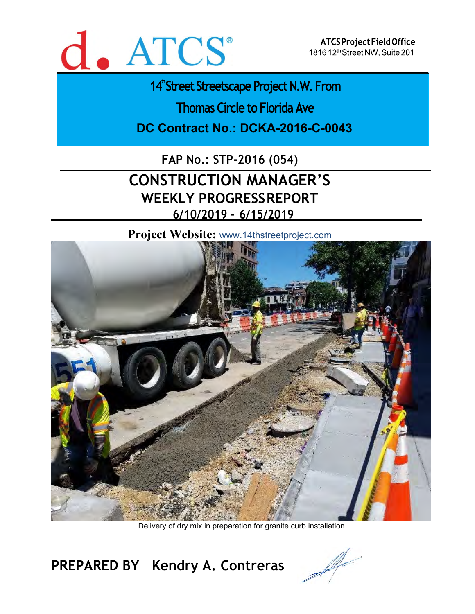

ATCS Project Field Office 1816 12th Street NW, Suite 201

14<sup>th</sup>Street Streetscape Project N.W. From

**Thomas Circle to Florida Ave** 

**DC Contract No.: DCKA-2016-C-0043** 

**FAP No.: STP-2016 (054)**

# **CONSTRUCTION MANAGER'S WEEKLY PROGRESS REPORT 6/10/2019 – 6/15/2019**

**Project Website:** www.14thstreetproject.com



Delivery of dry mix in preparation for granite curb installation.

**PREPARED BY Kendry A. Contreras**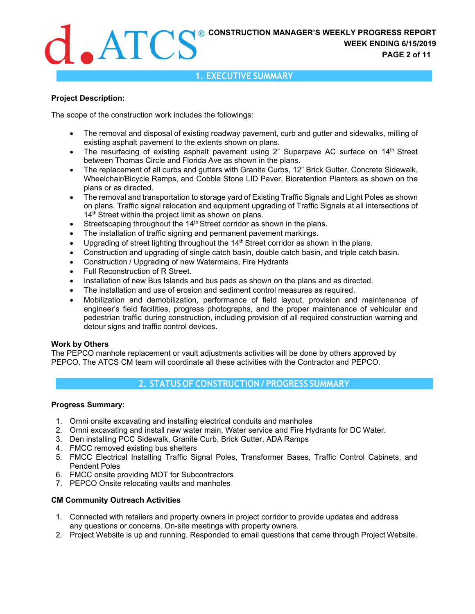

#### **Project Description:**

The scope of the construction work includes the followings:

- The removal and disposal of existing roadway pavement, curb and gutter and sidewalks, milling of existing asphalt pavement to the extents shown on plans.
- The resurfacing of existing asphalt pavement using 2" Superpave AC surface on 14<sup>th</sup> Street between Thomas Circle and Florida Ave as shown in the plans.
- The replacement of all curbs and gutters with Granite Curbs, 12" Brick Gutter, Concrete Sidewalk, Wheelchair/Bicycle Ramps, and Cobble Stone LID Paver, Bioretention Planters as shown on the plans or as directed.
- The removal and transportation to storage yard of Existing Traffic Signals and Light Poles as shown on plans. Traffic signal relocation and equipment upgrading of Traffic Signals at all intersections of 14<sup>th</sup> Street within the project limit as shown on plans.
- **Streetscaping throughout the 14<sup>th</sup> Street corridor as shown in the plans.**
- The installation of traffic signing and permanent pavement markings.
- $\bullet$  Upgrading of street lighting throughout the 14<sup>th</sup> Street corridor as shown in the plans.
- Construction and upgrading of single catch basin, double catch basin, and triple catch basin.
- Construction / Upgrading of new Watermains, Fire Hydrants
- Full Reconstruction of R Street.
- Installation of new Bus Islands and bus pads as shown on the plans and as directed.
- The installation and use of erosion and sediment control measures as required.
- Mobilization and demobilization, performance of field layout, provision and maintenance of engineer's field facilities, progress photographs, and the proper maintenance of vehicular and pedestrian traffic during construction, including provision of all required construction warning and detour signs and traffic control devices.

#### **Work by Others**

The PEPCO manhole replacement or vault adjustments activities will be done by others approved by PEPCO. The ATCS CM team will coordinate all these activities with the Contractor and PEPCO.

### **2. STATUS OF CONSTRUCTION / PROGRESS SUMMARY**

#### **Progress Summary:**

- 1. Omni onsite excavating and installing electrical conduits and manholes
- 2. Omni excavating and install new water main, Water service and Fire Hydrants for DC Water.
- 3. Den installing PCC Sidewalk, Granite Curb, Brick Gutter, ADA Ramps
- 4. FMCC removed existing bus shelters
- 5. FMCC Electrical Installing Traffic Signal Poles, Transformer Bases, Traffic Control Cabinets, and Pendent Poles
- 6. FMCC onsite providing MOT for Subcontractors
- 7. PEPCO Onsite relocating vaults and manholes

#### **CM Community Outreach Activities**

- 1. Connected with retailers and property owners in project corridor to provide updates and address any questions or concerns. On-site meetings with property owners.
- 2. Project Website is up and running. Responded to email questions that came through Project Website.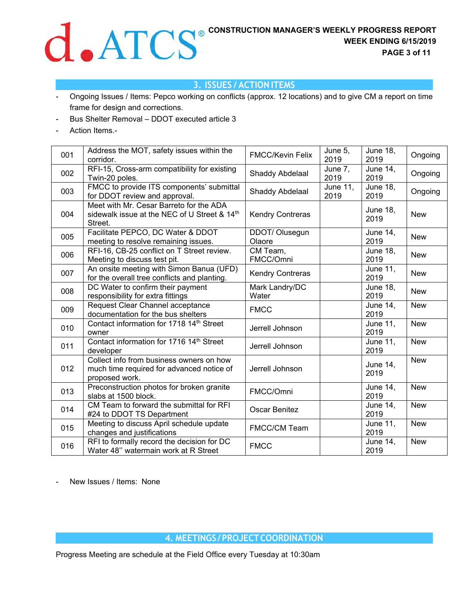

# **3. ISSUES / ACTION ITEMS**

- Ongoing Issues / Items: Pepco working on conflicts (approx. 12 locations) and to give CM a report on time frame for design and corrections.
- Bus Shelter Removal DDOT executed article 3
- Action Items.-

| 001 | Address the MOT, safety issues within the<br>corridor.                                                  | <b>FMCC/Kevin Felix</b>  | June 5,<br>2019         | <b>June 18,</b><br>2019 | Ongoing    |
|-----|---------------------------------------------------------------------------------------------------------|--------------------------|-------------------------|-------------------------|------------|
| 002 | RFI-15, Cross-arm compatibility for existing<br>Twin-20 poles.                                          | Shaddy Abdelaal          | June 7,<br>2019         | <b>June 14,</b><br>2019 | Ongoing    |
| 003 | FMCC to provide ITS components' submittal<br>for DDOT review and approval.                              | Shaddy Abdelaal          | <b>June 11,</b><br>2019 | <b>June 18,</b><br>2019 | Ongoing    |
| 004 | Meet with Mr. Cesar Barreto for the ADA<br>sidewalk issue at the NEC of U Street & 14th<br>Street.      | <b>Kendry Contreras</b>  |                         | <b>June 18,</b><br>2019 | <b>New</b> |
| 005 | Facilitate PEPCO, DC Water & DDOT<br>meeting to resolve remaining issues.                               | DDOT/ Olusegun<br>Olaore |                         | <b>June 14,</b><br>2019 | <b>New</b> |
| 006 | RFI-16, CB-25 conflict on T Street review.<br>Meeting to discuss test pit.                              | CM Team,<br>FMCC/Omni    |                         | <b>June 18,</b><br>2019 | <b>New</b> |
| 007 | An onsite meeting with Simon Banua (UFD)<br>for the overall tree conflicts and planting.                | <b>Kendry Contreras</b>  |                         | June $11$ ,<br>2019     | <b>New</b> |
| 008 | DC Water to confirm their payment<br>responsibility for extra fittings                                  | Mark Landry/DC<br>Water  |                         | <b>June 18,</b><br>2019 | <b>New</b> |
| 009 | Request Clear Channel acceptance<br>documentation for the bus shelters                                  | <b>FMCC</b>              |                         | <b>June 14,</b><br>2019 | <b>New</b> |
| 010 | Contact information for 1718 14th Street<br>owner                                                       | Jerrell Johnson          |                         | <b>June 11,</b><br>2019 | <b>New</b> |
| 011 | Contact information for 1716 14th Street<br>developer                                                   | Jerrell Johnson          |                         | <b>June 11,</b><br>2019 | <b>New</b> |
| 012 | Collect info from business owners on how<br>much time required for advanced notice of<br>proposed work. | Jerrell Johnson          |                         | <b>June 14,</b><br>2019 | <b>New</b> |
| 013 | Preconstruction photos for broken granite<br>slabs at 1500 block.                                       | FMCC/Omni                |                         | <b>June 14,</b><br>2019 | <b>New</b> |
| 014 | CM Team to forward the submittal for RFI<br>#24 to DDOT TS Department                                   | Oscar Benitez            |                         | June 14,<br>2019        | <b>New</b> |
| 015 | Meeting to discuss April schedule update<br>changes and justifications                                  | <b>FMCC/CM Team</b>      |                         | <b>June 11,</b><br>2019 | <b>New</b> |
| 016 | RFI to formally record the decision for DC<br>Water 48" watermain work at R Street                      | <b>FMCC</b>              |                         | <b>June 14,</b><br>2019 | <b>New</b> |

New Issues / Items: None

**4. MEETINGS / PROJECT COORDINATION**

Progress Meeting are schedule at the Field Office every Tuesday at 10:30am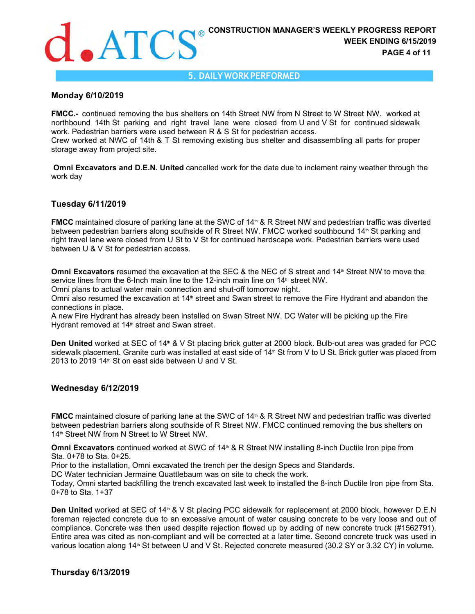#### **5. DAILY WORK PERFORMED**

#### **Monday 6/10/2019**

**FMCC.-**  continued removing the bus shelters on 14th Street NW from N Street to W Street NW. worked at northbound 14th St parking and right travel lane were closed from U and V St for continued sidewalk work. Pedestrian barriers were used between R & S St for pedestrian access.

Crew worked at NWC of 14th & T St removing existing bus shelter and disassembling all parts for proper storage away from project site.

 **Omni Excavators and D.E.N. United** cancelled work for the date due to inclement rainy weather through the work day

#### **Tuesday 6/11/2019**

**FMCC** maintained closure of parking lane at the SWC of 14<sup>th</sup> & R Street NW and pedestrian traffic was diverted between pedestrian barriers along southside of R Street NW. FMCC worked southbound 14th St parking and right travel lane were closed from U St to V St for continued hardscape work. Pedestrian barriers were used between U & V St for pedestrian access.

**Omni Excavators** resumed the excavation at the SEC & the NEC of S street and 14<sup>th</sup> Street NW to move the service lines from the 6-Inch main line to the 12-inch main line on  $14<sup>th</sup>$  street NW.

Omni plans to actual water main connection and shut-off tomorrow night.

Omni also resumed the excavation at 14<sup>th</sup> street and Swan street to remove the Fire Hydrant and abandon the connections in place.

A new Fire Hydrant has already been installed on Swan Street NW. DC Water will be picking up the Fire Hydrant removed at  $14<sup>th</sup>$  street and Swan street.

**Den United** worked at SEC of 14<sup>th</sup> & V St placing brick gutter at 2000 block. Bulb-out area was graded for PCC sidewalk placement. Granite curb was installed at east side of 14<sup>th</sup> St from V to U St. Brick gutter was placed from 2013 to 2019 14<sup>th</sup> St on east side between U and V St.

#### **Wednesday 6/12/2019**

**FMCC** maintained closure of parking lane at the SWC of 14<sup>th</sup> & R Street NW and pedestrian traffic was diverted between pedestrian barriers along southside of R Street NW. FMCC continued removing the bus shelters on 14<sup>th</sup> Street NW from N Street to W Street NW.

**Omni Excavators** continued worked at SWC of 14<sup>th</sup> & R Street NW installing 8-inch Ductile Iron pipe from Sta. 0+78 to Sta. 0+25.

Prior to the installation, Omni excavated the trench per the design Specs and Standards.

DC Water technician Jermaine Quattlebaum was on site to check the work.

Today, Omni started backfilling the trench excavated last week to installed the 8-inch Ductile Iron pipe from Sta. 0+78 to Sta. 1+37

**Den United** worked at SEC of 14<sup>th</sup> & V St placing PCC sidewalk for replacement at 2000 block, however D.E.N foreman rejected concrete due to an excessive amount of water causing concrete to be very loose and out of compliance. Concrete was then used despite rejection flowed up by adding of new concrete truck (#1562791). Entire area was cited as non-compliant and will be corrected at a later time. Second concrete truck was used in various location along 14<sup>th</sup> St between U and V St. Rejected concrete measured (30.2 SY or 3.32 CY) in volume.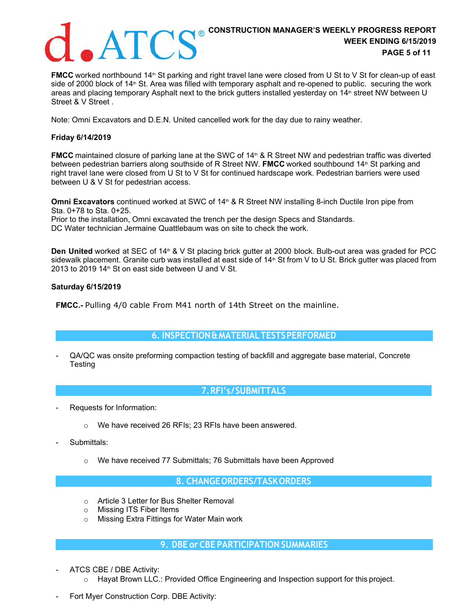

# **CONSTRUCTION MANAGER'S WEEKLY PROGRESS REPORT WEEK ENDING 6/15/2019 PAGE 5 of 11**

**FMCC** worked northbound 14<sup>th</sup> St parking and right travel lane were closed from U St to V St for clean-up of east side of 2000 block of 14<sup>th</sup> St. Area was filled with temporary asphalt and re-opened to public. securing the work areas and placing temporary Asphalt next to the brick gutters installed yesterday on 14<sup>th</sup> street NW between U Street & V Street .

Note: Omni Excavators and D.E.N. United cancelled work for the day due to rainy weather.

#### **Friday 6/14/2019**

**FMCC** maintained closure of parking lane at the SWC of 14<sup>th</sup> & R Street NW and pedestrian traffic was diverted between pedestrian barriers along southside of R Street NW. **FMCC** worked southbound 14th St parking and right travel lane were closed from U St to V St for continued hardscape work. Pedestrian barriers were used between U & V St for pedestrian access.

**Omni Excavators** continued worked at SWC of 14<sup>th</sup> & R Street NW installing 8-inch Ductile Iron pipe from Sta. 0+78 to Sta. 0+25. Prior to the installation, Omni excavated the trench per the design Specs and Standards.

DC Water technician Jermaine Quattlebaum was on site to check the work.

**Den United** worked at SEC of 14<sup>th</sup> & V St placing brick gutter at 2000 block. Bulb-out area was graded for PCC sidewalk placement. Granite curb was installed at east side of 14<sup>th</sup> St from V to U St. Brick gutter was placed from 2013 to 2019 14<sup>th</sup> St on east side between U and V St.

#### **Saturday 6/15/2019**

**FMCC.-** Pulling 4/0 cable From M41 north of 14th Street on the mainline.

# **6. INSPECTION & MATERIAL TESTS PERFORMED**

- QA/QC was onsite preforming compaction testing of backfill and aggregate base material, Concrete **Testing** 

### **7. RFI's / SUBMITTALS**

- Requests for Information:
	- o We have received 26 RFIs; 23 RFIs have been answered.
- Submittals:
	- We have received 77 Submittals; 76 Submittals have been Approved

### **8. CHANGE ORDERS/TASK ORDERS**

- o Article 3 Letter for Bus Shelter Removal
- o Missing ITS Fiber Items
- o Missing Extra Fittings for Water Main work

### **9. DBE or CBE PARTICIPATION SUMMARIES**

- ATCS CBE / DBE Activity:
	- $\circ$  Hayat Brown LLC.: Provided Office Engineering and Inspection support for this project.
- Fort Myer Construction Corp. DBE Activity: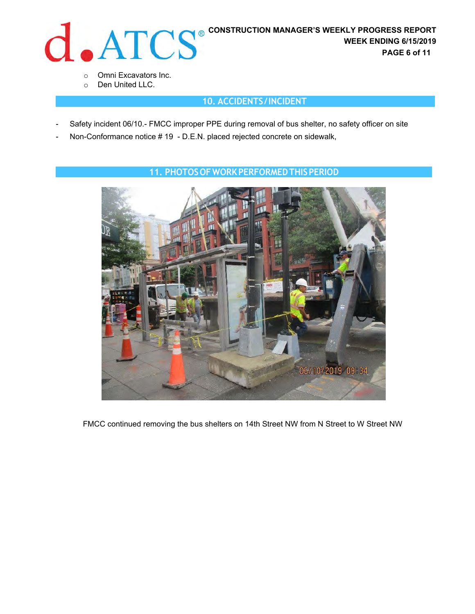

- o Omni Excavators Inc.
- o Den United LLC.

# **10. ACCIDENTS / INCIDENT**

- Safety incident 06/10.- FMCC improper PPE during removal of bus shelter, no safety officer on site
- Non-Conformance notice # 19 D.E.N. placed rejected concrete on sidewalk,



## **11. PHOTOS OF WORK PERFORMED THIS PERIOD**

FMCC continued removing the bus shelters on 14th Street NW from N Street to W Street NW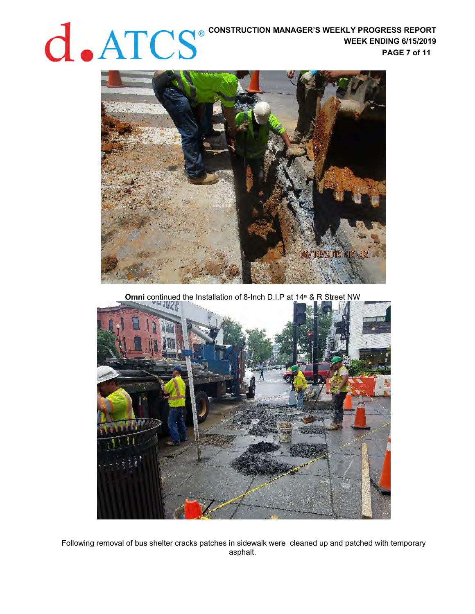# **CONSTRUCTION MANAGER'S WEEKLY PROGRESS REPORT WEEK ENDING 6/15/2019 PAGE 7 of 11**



**Omni** continued the Installation of 8-Inch D.I.P at 14<sup>th</sup> & R Street NW



Following removal of bus shelter cracks patches in sidewalk were cleaned up and patched with temporary asphalt.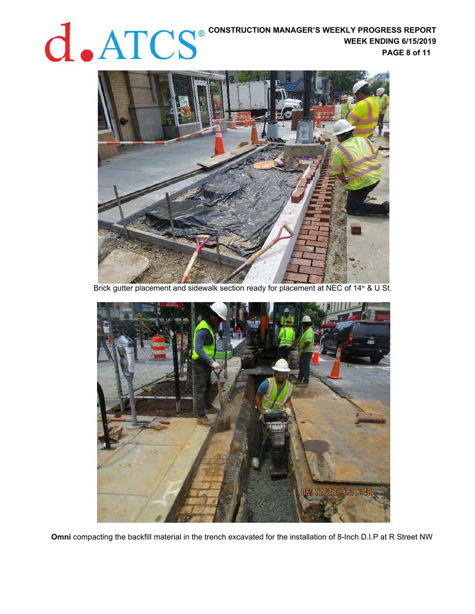WEEK ENDING 6/15/2019 **WEEK ENDING 6/15/2019 PAGE 8 of 11** 



Brick gutter placement and sidewalk section ready for placement at NEC of 14<sup>th</sup> & U St.



**Omni** compacting the backfill material in the trench excavated for the installation of 8-Inch D.I.P at R Street NW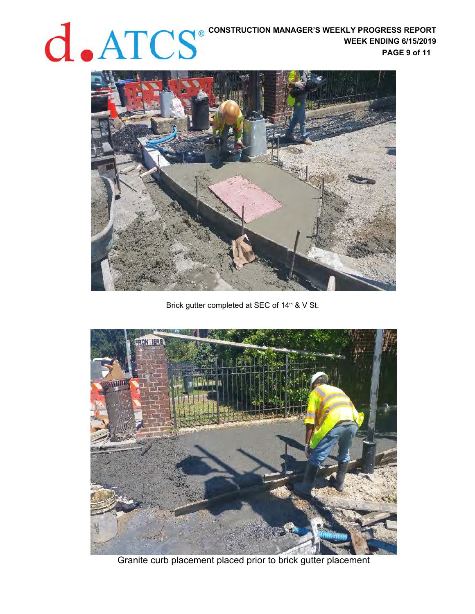**CONSTRUCTION MANAGER'S WEEKLY PROGRESS REPORT WEEK ENDING 6/15/2019 PAGE 9 of 11** 



Brick gutter completed at SEC of 14<sup>th</sup> & V St.



Granite curb placement placed prior to brick gutter placement